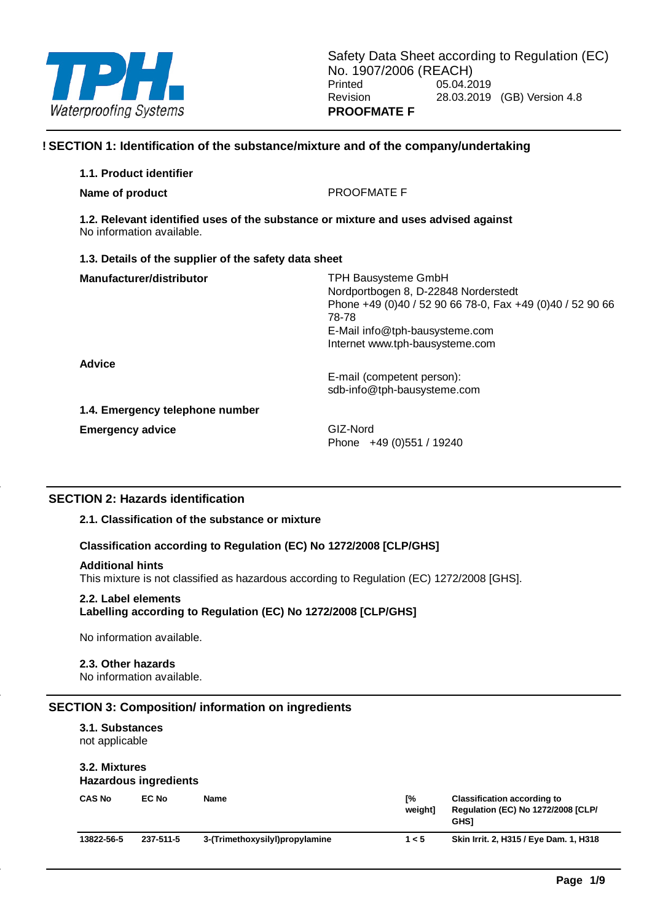

# **! SECTION 1: Identification of the substance/mixture and of the company/undertaking**

| 1.1. Product identifier                                                                                         |                                                                                                                                                                                                               |  |  |  |  |  |  |
|-----------------------------------------------------------------------------------------------------------------|---------------------------------------------------------------------------------------------------------------------------------------------------------------------------------------------------------------|--|--|--|--|--|--|
| Name of product                                                                                                 | <b>PROOFMATE F</b>                                                                                                                                                                                            |  |  |  |  |  |  |
| 1.2. Relevant identified uses of the substance or mixture and uses advised against<br>No information available. |                                                                                                                                                                                                               |  |  |  |  |  |  |
| 1.3. Details of the supplier of the safety data sheet                                                           |                                                                                                                                                                                                               |  |  |  |  |  |  |
| Manufacturer/distributor                                                                                        | <b>TPH Bausysteme GmbH</b><br>Nordportbogen 8, D-22848 Norderstedt<br>Phone +49 (0)40 / 52 90 66 78-0, Fax +49 (0)40 / 52 90 66<br>78-78<br>E-Mail info@tph-bausysteme.com<br>Internet www.tph-bausysteme.com |  |  |  |  |  |  |
| <b>Advice</b>                                                                                                   | E-mail (competent person):<br>sdb-info@tph-bausysteme.com                                                                                                                                                     |  |  |  |  |  |  |
| 1.4. Emergency telephone number                                                                                 |                                                                                                                                                                                                               |  |  |  |  |  |  |
| <b>Emergency advice</b>                                                                                         | GIZ-Nord<br>Phone +49 (0) 551 / 19240                                                                                                                                                                         |  |  |  |  |  |  |

## **SECTION 2: Hazards identification**

#### **2.1. Classification of the substance or mixture**

## **Classification according to Regulation (EC) No 1272/2008 [CLP/GHS]**

#### **Additional hints**

This mixture is not classified as hazardous according to Regulation (EC) 1272/2008 [GHS].

#### **2.2. Label elements**

**Labelling according to Regulation (EC) No 1272/2008 [CLP/GHS]**

No information available.

## **2.3. Other hazards**

No information available.

### **SECTION 3: Composition/ information on ingredients**

# **3.1. Substances**

not applicable

#### **3.2. Mixtures Hazardous ingredients**

| <b>CAS No</b> | EC No     | Name                           | г%<br>weiahtl | <b>Classification according to</b><br><b>Regulation (EC) No 1272/2008 [CLP/</b><br><b>GHSI</b> |
|---------------|-----------|--------------------------------|---------------|------------------------------------------------------------------------------------------------|
| 13822-56-5    | 237-511-5 | 3-(Trimethoxysilyl)propylamine | 1 < 5         | Skin Irrit. 2, H315 / Eye Dam. 1, H318                                                         |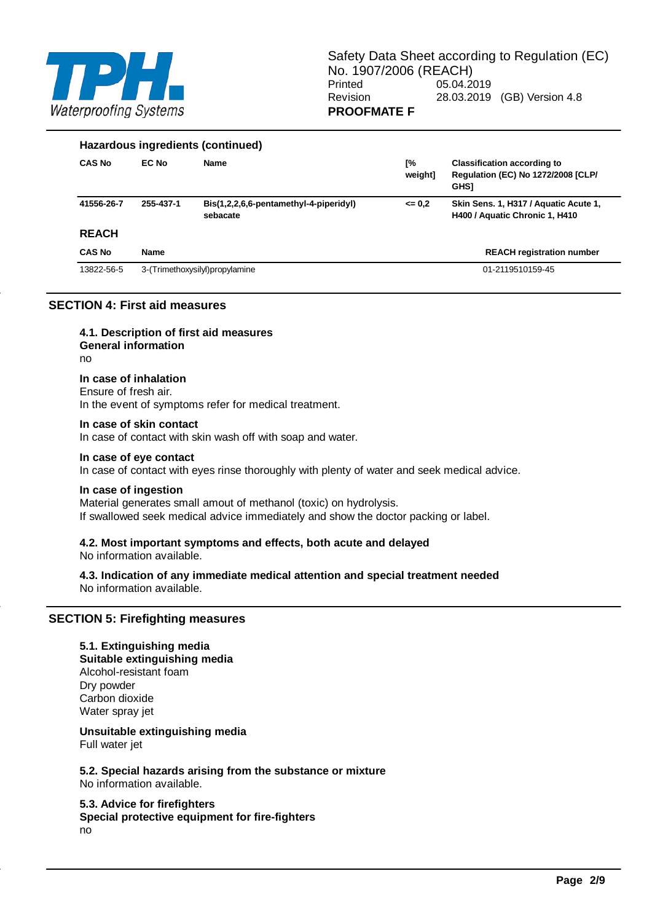

| Hazardous ingredients (continued) |              |                                                    |               |                                                                                                |  |  |  |
|-----------------------------------|--------------|----------------------------------------------------|---------------|------------------------------------------------------------------------------------------------|--|--|--|
| <b>CAS No</b>                     | <b>EC No</b> | <b>Name</b>                                        | Г%<br>weight] | <b>Classification according to</b><br><b>Regulation (EC) No 1272/2008 [CLP/</b><br><b>GHSI</b> |  |  |  |
| 41556-26-7                        | 255-437-1    | Bis(1,2,2,6,6-pentamethyl-4-piperidyl)<br>sebacate | $= 0.2$       | Skin Sens. 1, H317 / Aquatic Acute 1,<br>H400 / Aquatic Chronic 1, H410                        |  |  |  |
| <b>REACH</b>                      |              |                                                    |               |                                                                                                |  |  |  |
| <b>CAS No</b>                     | <b>Name</b>  |                                                    |               | <b>REACH registration number</b>                                                               |  |  |  |
| 13822-56-5                        |              | 3-(Trimethoxysilyl)propylamine                     |               | 01-2119510159-45                                                                               |  |  |  |

# **SECTION 4: First aid measures**

**4.1. Description of first aid measures General information** no

**In case of inhalation** Ensure of fresh air. In the event of symptoms refer for medical treatment.

#### **In case of skin contact**

In case of contact with skin wash off with soap and water.

# **In case of eye contact**

In case of contact with eyes rinse thoroughly with plenty of water and seek medical advice.

#### **In case of ingestion**

Material generates small amout of methanol (toxic) on hydrolysis. If swallowed seek medical advice immediately and show the doctor packing or label.

#### **4.2. Most important symptoms and effects, both acute and delayed**

No information available.

#### **4.3. Indication of any immediate medical attention and special treatment needed** No information available.

#### **SECTION 5: Firefighting measures**

#### **5.1. Extinguishing media**

**Suitable extinguishing media** Alcohol-resistant foam Dry powder Carbon dioxide Water spray jet

**Unsuitable extinguishing media**

Full water jet

**5.2. Special hazards arising from the substance or mixture** No information available.

## **5.3. Advice for firefighters**

**Special protective equipment for fire-fighters** no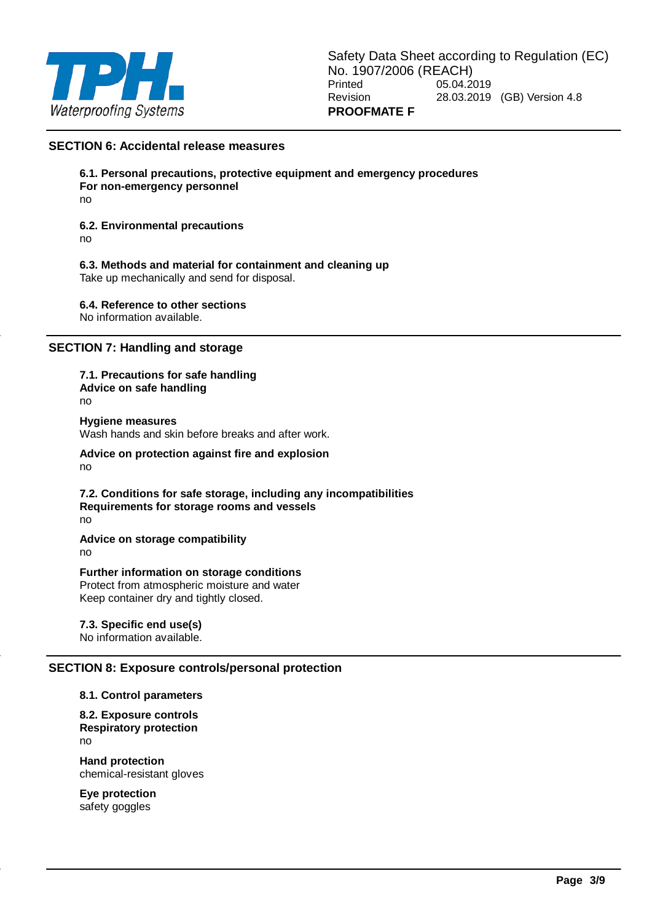

## **SECTION 6: Accidental release measures**

**6.1. Personal precautions, protective equipment and emergency procedures For non-emergency personnel**

no

## **6.2. Environmental precautions**

no

#### **6.3. Methods and material for containment and cleaning up**

Take up mechanically and send for disposal.

**6.4. Reference to other sections** No information available.

# **SECTION 7: Handling and storage**

**7.1. Precautions for safe handling Advice on safe handling** no **Hygiene measures** Wash hands and skin before breaks and after work. **Advice on protection against fire and explosion**

no

**7.2. Conditions for safe storage, including any incompatibilities Requirements for storage rooms and vessels** no

**Advice on storage compatibility** no

**Further information on storage conditions** Protect from atmospheric moisture and water Keep container dry and tightly closed.

## **7.3. Specific end use(s)**

No information available.

#### **SECTION 8: Exposure controls/personal protection**

#### **8.1. Control parameters**

**8.2. Exposure controls Respiratory protection** no

**Hand protection** chemical-resistant gloves

**Eye protection** safety goggles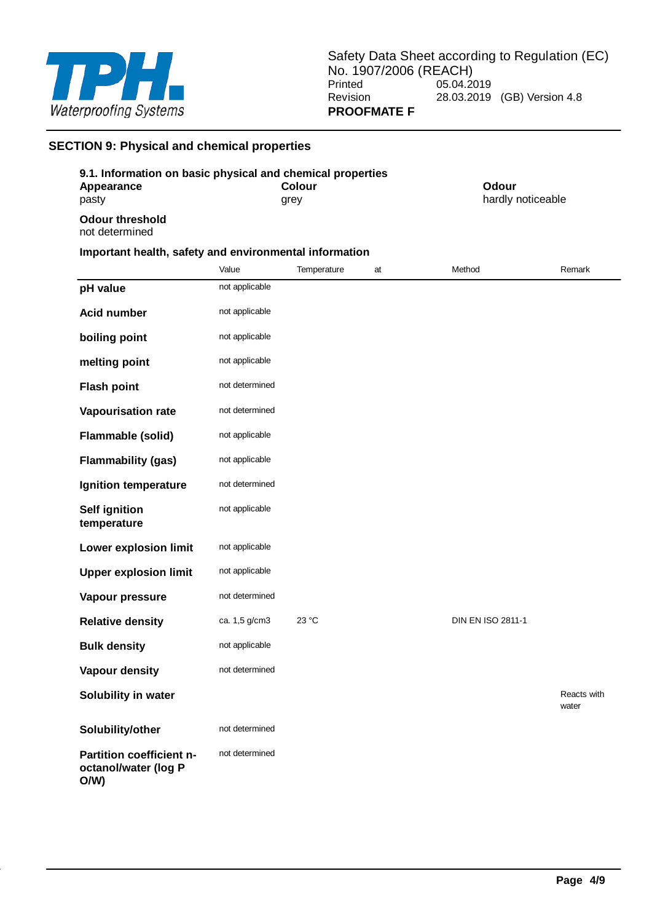

# **SECTION 9: Physical and chemical properties**

| 9.1. Information on basic physical and chemical properties |                                                        |                            |  |  |  |  |
|------------------------------------------------------------|--------------------------------------------------------|----------------------------|--|--|--|--|
| Appearance<br>pasty                                        | Colour<br>grey                                         | Odour<br>hardly noticeable |  |  |  |  |
| Odour threshold<br>not determined                          |                                                        |                            |  |  |  |  |
|                                                            | Important health, safety and environmental information |                            |  |  |  |  |

|                                                         | Value          | Temperature | at | Method                   | Remark               |
|---------------------------------------------------------|----------------|-------------|----|--------------------------|----------------------|
| pH value                                                | not applicable |             |    |                          |                      |
| <b>Acid number</b>                                      | not applicable |             |    |                          |                      |
| boiling point                                           | not applicable |             |    |                          |                      |
| melting point                                           | not applicable |             |    |                          |                      |
| <b>Flash point</b>                                      | not determined |             |    |                          |                      |
| <b>Vapourisation rate</b>                               | not determined |             |    |                          |                      |
| Flammable (solid)                                       | not applicable |             |    |                          |                      |
| <b>Flammability (gas)</b>                               | not applicable |             |    |                          |                      |
| Ignition temperature                                    | not determined |             |    |                          |                      |
| <b>Self ignition</b><br>temperature                     | not applicable |             |    |                          |                      |
| Lower explosion limit                                   | not applicable |             |    |                          |                      |
| <b>Upper explosion limit</b>                            | not applicable |             |    |                          |                      |
| Vapour pressure                                         | not determined |             |    |                          |                      |
| <b>Relative density</b>                                 | ca. 1,5 g/cm3  | 23 °C       |    | <b>DIN EN ISO 2811-1</b> |                      |
| <b>Bulk density</b>                                     | not applicable |             |    |                          |                      |
| <b>Vapour density</b>                                   | not determined |             |    |                          |                      |
| Solubility in water                                     |                |             |    |                          | Reacts with<br>water |
| Solubility/other                                        | not determined |             |    |                          |                      |
| Partition coefficient n-<br>octanol/water (log P<br>O/W | not determined |             |    |                          |                      |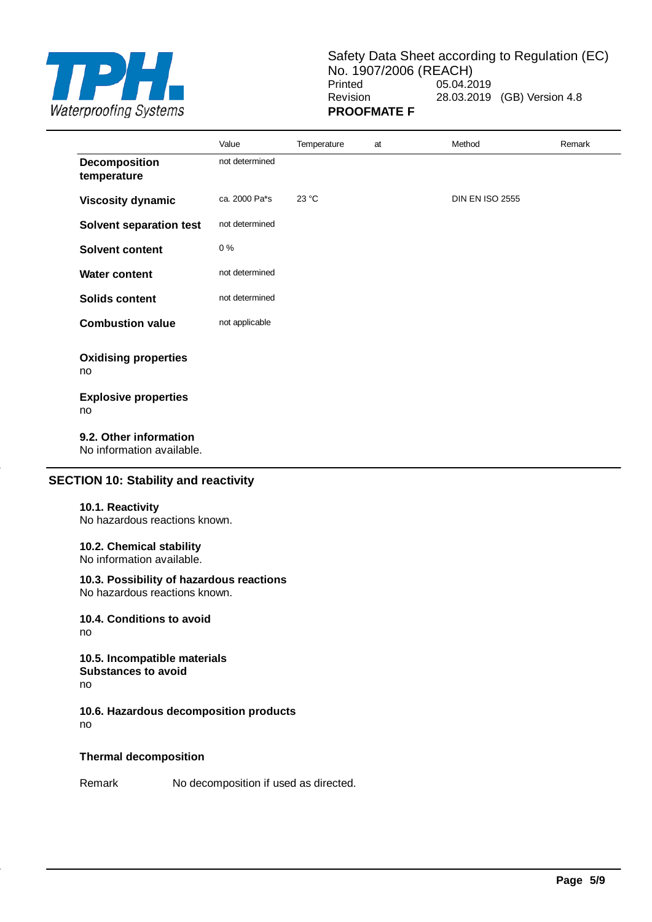

Safety Data Sheet according to Regulation (EC) No. 1907/2006 (REACH)<br>Printed 05.04.2 05.04.2019 Revision 28.03.2019 (GB) Version 4.8 **PROOFMATE F**

|                                                     | Value          | Temperature | at | Method                 | Remark |
|-----------------------------------------------------|----------------|-------------|----|------------------------|--------|
| Decomposition<br>temperature                        | not determined |             |    |                        |        |
| <b>Viscosity dynamic</b>                            | ca. 2000 Pa*s  | 23 °C       |    | <b>DIN EN ISO 2555</b> |        |
| Solvent separation test                             | not determined |             |    |                        |        |
| Solvent content                                     | 0%             |             |    |                        |        |
| <b>Water content</b>                                | not determined |             |    |                        |        |
| <b>Solids content</b>                               | not determined |             |    |                        |        |
| <b>Combustion value</b>                             | not applicable |             |    |                        |        |
| <b>Oxidising properties</b><br>no                   |                |             |    |                        |        |
| <b>Explosive properties</b><br>no                   |                |             |    |                        |        |
| 9.2. Other information<br>No information available. |                |             |    |                        |        |

# **SECTION 10: Stability and reactivity**

#### **10.1. Reactivity**

No hazardous reactions known.

#### **10.2. Chemical stability**

No information available.

## **10.3. Possibility of hazardous reactions**

No hazardous reactions known.

**10.4. Conditions to avoid** no

**10.5. Incompatible materials Substances to avoid** no

**10.6. Hazardous decomposition products** no

## **Thermal decomposition**

Remark No decomposition if used as directed.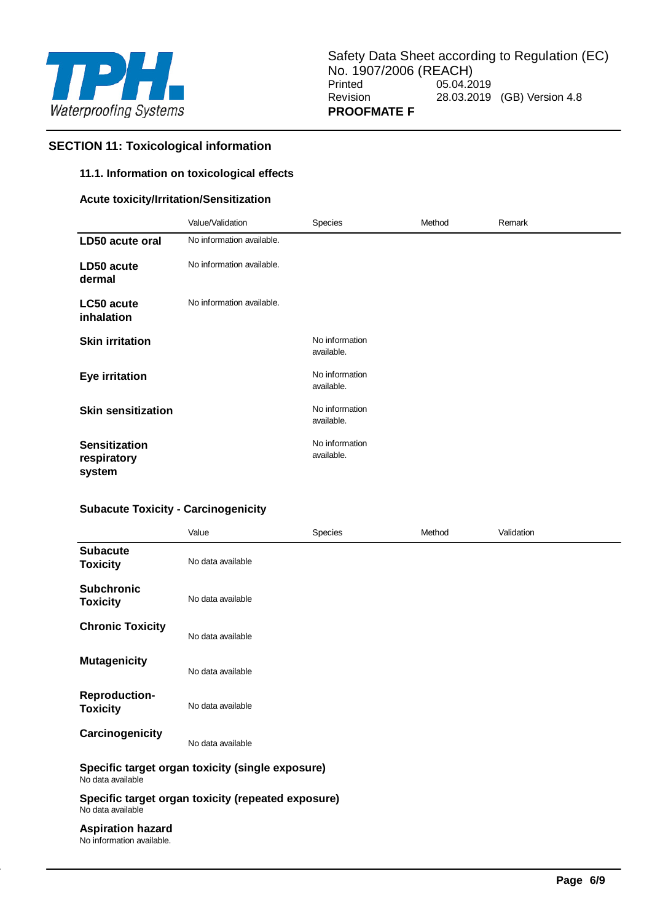

# **SECTION 11: Toxicological information**

## **11.1. Information on toxicological effects**

## **Acute toxicity/Irritation/Sensitization**

|                                               | Value/Validation          | <b>Species</b>               | Method | Remark |
|-----------------------------------------------|---------------------------|------------------------------|--------|--------|
| LD50 acute oral                               | No information available. |                              |        |        |
| LD50 acute<br>dermal                          | No information available. |                              |        |        |
| LC50 acute<br>inhalation                      | No information available. |                              |        |        |
| <b>Skin irritation</b>                        |                           | No information<br>available. |        |        |
| <b>Eye irritation</b>                         |                           | No information<br>available. |        |        |
| <b>Skin sensitization</b>                     |                           | No information<br>available. |        |        |
| <b>Sensitization</b><br>respiratory<br>system |                           | No information<br>available. |        |        |

# **Subacute Toxicity - Carcinogenicity**

|                                                                         | Value                                            | <b>Species</b> | Method | Validation |  |  |
|-------------------------------------------------------------------------|--------------------------------------------------|----------------|--------|------------|--|--|
| <b>Subacute</b><br><b>Toxicity</b>                                      | No data available                                |                |        |            |  |  |
| <b>Subchronic</b><br><b>Toxicity</b>                                    | No data available                                |                |        |            |  |  |
| <b>Chronic Toxicity</b>                                                 | No data available                                |                |        |            |  |  |
| <b>Mutagenicity</b>                                                     | No data available                                |                |        |            |  |  |
| <b>Reproduction-</b><br><b>Toxicity</b>                                 | No data available                                |                |        |            |  |  |
| Carcinogenicity                                                         | No data available                                |                |        |            |  |  |
| No data available                                                       | Specific target organ toxicity (single exposure) |                |        |            |  |  |
| Specific target organ toxicity (repeated exposure)<br>No data available |                                                  |                |        |            |  |  |
| <b>Aspiration hazard</b><br>No information available.                   |                                                  |                |        |            |  |  |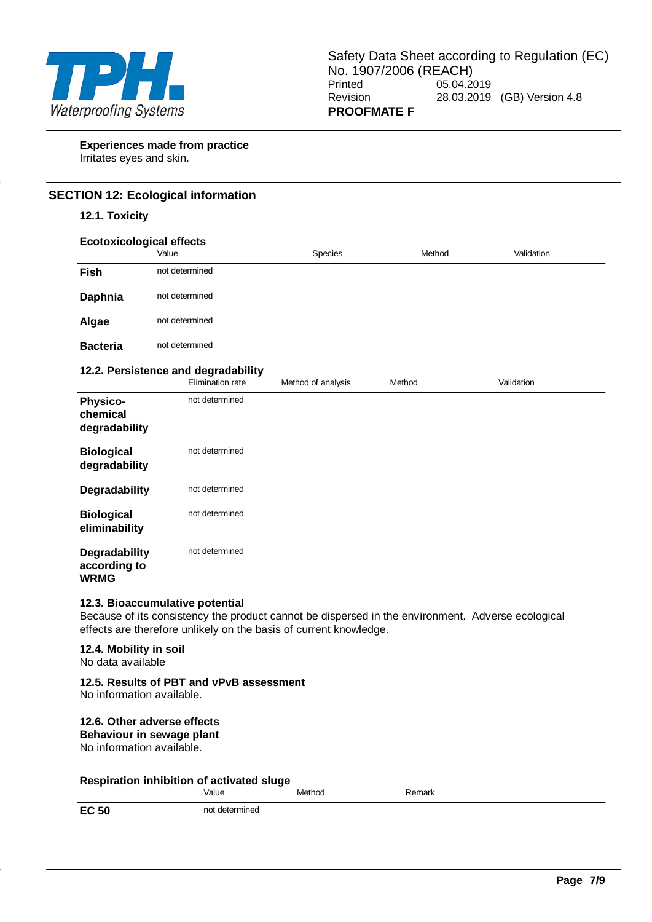

**Experiences made from practice** Irritates eyes and skin.

# **SECTION 12: Ecological information**

## **12.1. Toxicity**

| <b>Ecotoxicological effects</b>                                                                                                                                                                           | Value                                                   | <b>Species</b>     | Method | Validation |  |  |
|-----------------------------------------------------------------------------------------------------------------------------------------------------------------------------------------------------------|---------------------------------------------------------|--------------------|--------|------------|--|--|
| Fish                                                                                                                                                                                                      | not determined                                          |                    |        |            |  |  |
| Daphnia                                                                                                                                                                                                   | not determined                                          |                    |        |            |  |  |
| Algae                                                                                                                                                                                                     | not determined                                          |                    |        |            |  |  |
| <b>Bacteria</b>                                                                                                                                                                                           | not determined                                          |                    |        |            |  |  |
|                                                                                                                                                                                                           | 12.2. Persistence and degradability<br>Elimination rate | Method of analysis | Method | Validation |  |  |
| <b>Physico-</b><br>chemical<br>degradability                                                                                                                                                              | not determined                                          |                    |        |            |  |  |
| <b>Biological</b><br>degradability                                                                                                                                                                        | not determined                                          |                    |        |            |  |  |
| Degradability                                                                                                                                                                                             | not determined                                          |                    |        |            |  |  |
| <b>Biological</b><br>eliminability                                                                                                                                                                        | not determined                                          |                    |        |            |  |  |
| <b>Degradability</b><br>according to<br><b>WRMG</b>                                                                                                                                                       | not determined                                          |                    |        |            |  |  |
| 12.3. Bioaccumulative potential<br>Because of its consistency the product cannot be dispersed in the environment. Adverse ecological<br>effects are therefore unlikely on the basis of current knowledge. |                                                         |                    |        |            |  |  |
| 12.4. Mobility in soil<br>No data available                                                                                                                                                               |                                                         |                    |        |            |  |  |
| No information available.                                                                                                                                                                                 | 12.5. Results of PBT and vPvB assessment                |                    |        |            |  |  |
| 12.6. Other adverse effects<br>Behaviour in sewage plant<br>No information available.                                                                                                                     |                                                         |                    |        |            |  |  |
|                                                                                                                                                                                                           | Respiration inhibition of activated sluge<br>Value      | Method             | Remark |            |  |  |

**EC 50** not determined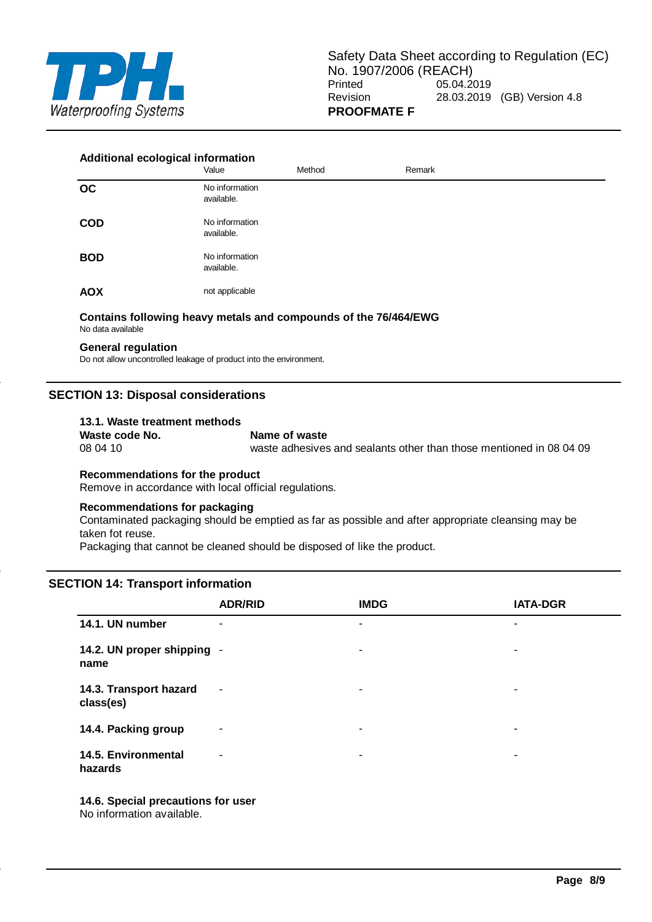

#### **Additional ecological information**

|            | Value                        | Method | Remark |
|------------|------------------------------|--------|--------|
| OC         | No information<br>available. |        |        |
| <b>COD</b> | No information<br>available. |        |        |
| <b>BOD</b> | No information<br>available. |        |        |
| <b>AOX</b> | not applicable               |        |        |

#### **Contains following heavy metals and compounds of the 76/464/EWG** No data available

#### **General regulation**

Do not allow uncontrolled leakage of product into the environment.

## **SECTION 13: Disposal considerations**

# **13.1. Waste treatment methods**

# **Waste code No. Name of waste**<br>08 04 10 **Waste adhesives**

waste adhesives and sealants other than those mentioned in 08 04 09

# **Recommendations for the product**

Remove in accordance with local official regulations.

#### **Recommendations for packaging**

Contaminated packaging should be emptied as far as possible and after appropriate cleansing may be taken fot reuse.

Packaging that cannot be cleaned should be disposed of like the product.

#### **SECTION 14: Transport information**

|                                     | <b>ADR/RID</b> | <b>IMDG</b> | <b>IATA-DGR</b> |
|-------------------------------------|----------------|-------------|-----------------|
| 14.1. UN number                     | ٠              | ٠           | ٠               |
| 14.2. UN proper shipping -<br>name  |                | ۰           | ۰               |
| 14.3. Transport hazard<br>class(es) | ٠              | ۰           | ۰               |
| 14.4. Packing group                 | ۰              | ۰           | ٠               |
| 14.5. Environmental<br>hazards      | $\sim$         | ۰           | ۰               |

**14.6. Special precautions for user** No information available.